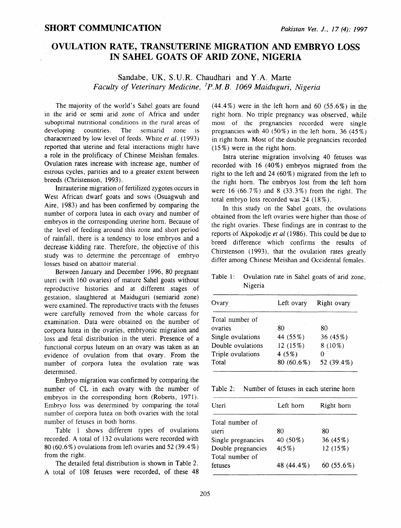## **OVULATION RATE, TRANSUTERINE MIGRATION AND EMBRYO LOSS IN SAHEL GOATS OF ARID ZONE, NIGERIA**

## Sandabe, UK, S.U.R. Chaudhari and Y.A. Marte *Faculty of Veterinary Medicine,* <sup>2</sup> *P.M.B. 1069 Maiduguri, Nigeria*

The majority of the world's Sahel goats are found in the arid or semi arid zone of Africa and under suboptimal nutritional conditions in the rural areas of developing countries. The semiarid zone is characterized by low level of feeds. White *et* at. ( 1993) reported that uterine and fetal interactions might have a role in the prolificacy of Chinese Meishan females. Ovulation rates increase with increase age, number of estrous cycles, parities and to a greater extent between breeds (Christenson, 1993).

Intrauterine migration of fertilized zygotes occurs in West African dwarf goats and sows (Osuagwuh and Aire, 1983) and has been confirmed by comparing the number of corpora lutea in each ovary and number of embryos in the corresponding uterine horn. Because of the level of feeding around this zone and short period of rainfall, there is a tendency to lose embryos and a decrease kidding rate. Therefore, the objective of this study was to determine the percentage of embryo losses based on abattoir material.

Between January and December 1996, 80 pregnant uteri (with 160 ovaries) of mature Sahel goats without reproductive histories and at different stages of gestation, slaughtered at Maiduguri (semiarid zone) were examined. The reproductive tracts with the fetuses were carefully removed from the whole carcass for examination. Data were obtained on the number of corpora lutea in the ovaries, embryonic migration and loss and fetal distribution in the uteri. Presence of a functional corpus luteum on an ovary was taken as an evidence of ovulation from that ovary. From the number of corpora lutea the ovulation rate was determined.

Embryo migration was confirmed by comparing the number of CL in each ovary with the number of embryos in the corresponding horn (Roberts, 1971). Embryo loss was determined by comparing the total number of corpora lutea on both ovaries with the total number of fetuses in both horns.

Table l shows different types of ovulations recorded. A total of 132 ovulations were recorded with 80 (60.6%) ovulations from left ovaries and 52 (39.4%) from the right.

The detailed fetal distribution is shown in Table 2. A total of 108 fetuses were recorded, of these 48

 $(44.4\%)$  were in the left horn and 60 (55.6%) in the right horn. No triple pregnancy was observed, while most of the pregnancies recorded were single pregnancies with 40 (50%) in the left horn, 36 (45%) in right hom. Most of the double pregnancies recorded  $(15\%)$  were in the right horn.

Intra uterine migration involving 40 fetuses was recorded with  $16$  (40%) embryos migrated from the right to the left and  $24 (60\%)$  migrated from the left to the right horn. The embryos lost from the left horn were 16  $(66.7\%)$  and 8  $(33.3\%)$  from the right. The total embryo loss recorded was 24 ( 18%).

In this study on the Sahel goats, the ovulations obtained from the left ovaries were higher than those of the right ovaries. These findings are in contrast to the reports of Akpokodje *et al* ( 1986). This could be due to breed difference which confirms the results of Chirstenson (1993), that the ovulation rates greatly differ among Chinese Meishan and Occidental females.

Table 1: Ovulation rate in Sahel goats of arid zone, Nigeria

| Ovary             | Left ovary   | Right ovary |
|-------------------|--------------|-------------|
| Total number of   |              |             |
| ovaries           | 80           | 80          |
| Single ovulations | 44 (55%)     | 36 (45%)    |
| Double ovulations | 12(15%)      | $8(10\%)$   |
| Triple ovulations | 4(5%)        |             |
| Total             | $80(60.6\%)$ | 52 (39.4%)  |

Table 2: Number of fetuses in each uterine horn

| Uteri                                 | Left horn  | Right horn    |
|---------------------------------------|------------|---------------|
| Total number of                       |            |               |
| uteri                                 | 80         | 80            |
| Single pregnancies                    | 40 (50%)   | 36 (45%)      |
| Double pregnancies<br>Total number of | $4(5\%)$   | 12 (15%)      |
| fetuses                               | 48 (44.4%) | 60 $(55.6\%)$ |